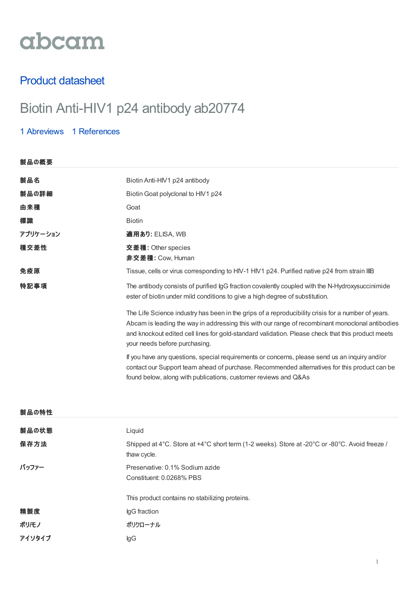# abcam

## Product datasheet

# Biotin Anti-HIV1 p24 antibody ab20774

### 1 [Abreviews](https://www.abcam.co.jp/biotin-hiv1-p24-antibody-ab20774.html?productWallTab=Abreviews) 1 [References](https://www.abcam.co.jp/biotin-hiv1-p24-antibody-ab20774.html#description_references)

| 製品の概要    |                                                                                                                                                                                                                                                                                                                                             |
|----------|---------------------------------------------------------------------------------------------------------------------------------------------------------------------------------------------------------------------------------------------------------------------------------------------------------------------------------------------|
| 製品名      | Biotin Anti-HIV1 p24 antibody                                                                                                                                                                                                                                                                                                               |
| 製品の詳細    | Biotin Goat polyclonal to HIV1 p24                                                                                                                                                                                                                                                                                                          |
| 由来種      | Goat                                                                                                                                                                                                                                                                                                                                        |
| 標識       | <b>Biotin</b>                                                                                                                                                                                                                                                                                                                               |
| アプリケーション | 適用あり: ELISA, WB                                                                                                                                                                                                                                                                                                                             |
| 種交差性     | <b>交差種: Other species</b><br><b>非交差種: Cow, Human</b>                                                                                                                                                                                                                                                                                        |
| 免疫原      | Tissue, cells or virus corresponding to HIV-1 HIV1 p24. Purified native p24 from strain IIIB                                                                                                                                                                                                                                                |
| 特記事項     | The antibody consists of purified IgG fraction covalently coupled with the N-Hydroxysuccinimide<br>ester of biotin under mild conditions to give a high degree of substitution.                                                                                                                                                             |
|          | The Life Science industry has been in the grips of a reproducibility crisis for a number of years.<br>Abcam is leading the way in addressing this with our range of recombinant monoclonal antibodies<br>and knockout edited cell lines for gold-standard validation. Please check that this product meets<br>your needs before purchasing. |
|          | If you have any questions, special requirements or concerns, please send us an inquiry and/or<br>contact our Support team ahead of purchase. Recommended alternatives for this product can be<br>found below, along with publications, customer reviews and Q&As                                                                            |

| 製品の特性  |                                                                                                              |
|--------|--------------------------------------------------------------------------------------------------------------|
| 製品の状態  | Liquid                                                                                                       |
| 保存方法   | Shipped at 4°C. Store at +4°C short term (1-2 weeks). Store at -20°C or -80°C. Avoid freeze /<br>thaw cycle. |
| バッファー  | Preservative: 0.1% Sodium azide<br>Constituent: 0.0268% PBS                                                  |
|        | This product contains no stabilizing proteins.                                                               |
| 精製度    | IgG fraction                                                                                                 |
| ポリ/モノ  | ポリクローナル                                                                                                      |
| アイソタイプ | lgG                                                                                                          |